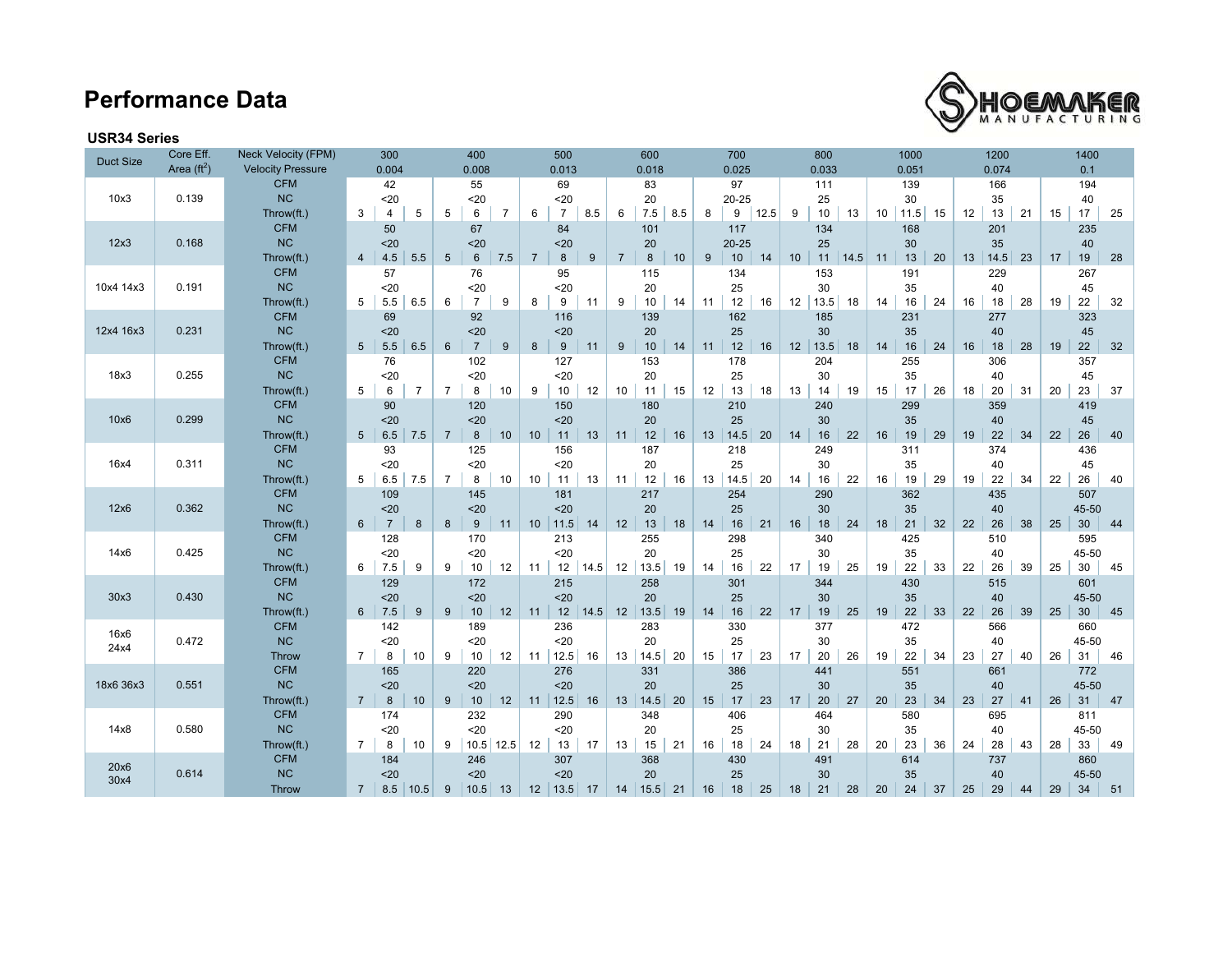## **Performance Data**



### **USR34 Series**

| <b>Duct Size</b> | Core Eff.            | <b>Neck Velocity (FPM)</b> | 300                              |                | 400             |                        |    | 500                      |                     |                | 600       |     |    | 700       |      |     | 800   |      |                 | 1000  |    | 1200 |        | 1400 |    |                 |    |
|------------------|----------------------|----------------------------|----------------------------------|----------------|-----------------|------------------------|----|--------------------------|---------------------|----------------|-----------|-----|----|-----------|------|-----|-------|------|-----------------|-------|----|------|--------|------|----|-----------------|----|
|                  | Area $(\text{ft}^2)$ | <b>Velocity Pressure</b>   | 0.004                            |                |                 | 0.008                  |    | 0.013<br>0.018           |                     |                | 0.025     |     |    | 0.033     |      |     | 0.051 |      |                 | 0.074 |    |      | 0.1    |      |    |                 |    |
|                  |                      | <b>CFM</b>                 | 42                               |                | 55              |                        |    | 69                       |                     | 83             |           | 97  |    | 111       |      | 139 |       |      | 166             |       |    | 194  |        |      |    |                 |    |
| 10x3             | 0.139                | <b>NC</b>                  | $20$                             |                |                 | $20$                   |    | $20$                     |                     |                | 20        |     |    | $20 - 25$ |      |     | 25    |      |                 | 30    |    |      | 35     |      |    | 40              |    |
|                  |                      | Throw(ft.)                 | 3<br>4                           | 5              | 5               | 6<br>$\overline{7}$    |    | $\overline{7}$<br>6      | 8.5                 | 6              | 7.5       | 8.5 | 8  | 9         | 12.5 | 9   | 10    | 13   | 10 <sup>1</sup> | 11.5  | 15 | 12   | 13     | 21   | 15 | 17              | 25 |
|                  |                      | <b>CFM</b>                 | 50                               |                |                 | 67                     |    | 84                       |                     |                | 101       |     |    | 117       |      |     | 134   |      |                 | 168   |    |      | 201    |      |    | 235             |    |
| 12x3             | 0.168                | <b>NC</b>                  | $20$                             |                |                 | 20                     |    | 20                       |                     |                | 20        |     |    | $20 - 25$ |      |     | 25    |      |                 | 30    |    |      | 35     |      |    | 40              |    |
|                  |                      | Throw(ft.)                 | 4.5<br>4                         | 5.5            | $5\overline{)}$ | $6\phantom{1}$<br>7.5  |    | 8<br>$\overline{7}$      | 9                   | $\overline{7}$ | 8         | 10  | 9  | 10        | 14   | 10  | 11    | 14.5 | 11              | 13    | 20 | 13   | 14.5   | 23   | 17 | 19              | 28 |
|                  |                      | <b>CFM</b>                 | 57                               |                |                 | 76                     |    | 95                       |                     |                | 115       |     |    | 134       |      |     | 153   |      |                 | 191   |    |      | 229    |      |    | 267             |    |
| 10x4 14x3        | 0.191                | <b>NC</b>                  | 20                               |                |                 | $20$                   |    | 20                       |                     |                | 20        |     |    | 25        |      |     | 30    |      |                 | 35    |    |      | 40     |      |    | 45              |    |
|                  |                      | Throw(ft.)                 | 5<br>5.5                         | 6.5            | 6               | $\overline{7}$<br>9    |    | 9<br>8                   | 11                  | 9              | 10        | 14  | 11 | 12        | 16   | 12  | 13.5  | 18   | 14              | 16    | 24 | 16   | 18     | 28   | 19 | 22              | 32 |
|                  |                      | <b>CFM</b>                 | 69                               |                |                 | 92                     |    | 116                      |                     |                | 139       |     |    | 162       |      |     | 185   |      |                 | 231   |    |      | 277    |      |    | 323             |    |
| 12x4 16x3        | 0.231                | <b>NC</b>                  | $20$                             |                |                 | $20$                   |    | $20$                     |                     |                | 20        |     |    | 25        |      |     | 30    |      |                 | 35    |    |      | 40     |      |    | 45              |    |
|                  |                      | Throw(ft.)                 | 5 <sup>5</sup><br>5.5            | 6.5            | $6\overline{6}$ | $\overline{7}$<br>9    |    | 8<br>9                   | 11                  | 9              | 10        | 14  | 11 | 12        | 16   | 12  | 13.5  | 18   | 14              | 16    | 24 | 16   | 18     | 28   | 19 | 22              | 32 |
|                  |                      | <b>CFM</b>                 | 76                               |                |                 | 102                    |    | 127                      |                     |                | 153       |     |    | 178       |      |     | 204   |      |                 | 255   |    |      | 306    |      |    | 357             |    |
| 18x3             | 0.255                | NC                         | 20                               |                |                 | $20$                   |    | $20$                     |                     |                | 20        |     |    | 25        |      |     | 30    |      |                 | 35    |    |      | 40     |      |    | 45              |    |
|                  |                      | Throw(ft.)                 | 5<br>6                           | $\overline{7}$ | $\overline{7}$  | 8<br>10                |    | 9<br>10                  | 12                  | 10             | 11        | 15  | 12 | 13        | 18   | 13  | 14    | 19   | 15              | 17    | 26 | 18   | 20     | 31   | 20 | 23              | 37 |
|                  |                      | <b>CFM</b>                 | 90                               |                |                 | 120                    |    | 150                      |                     |                | 180       |     |    | 210       |      |     | 240   |      |                 | 299   |    |      | 359    |      |    | 419             |    |
| 10x6             | 0.299                | NC                         | $20$                             |                |                 | $20$                   |    | $20$                     |                     |                | 20        |     |    | 25        |      |     | 30    |      |                 | 35    |    |      | 40     |      |    | 45              |    |
|                  |                      | Throw(ft.)                 | 5 <sub>5</sub><br>6.5            | 7.5            | $\overline{7}$  | $\boldsymbol{8}$<br>10 |    | 10 <sup>1</sup><br>11    | 13                  | 11             | 12        | 16  | 13 | 14.5      | 20   | 14  | 16    | 22   | 16              | 19    | 29 | 19   | 22     | 34   | 22 | 26              | 40 |
|                  |                      | <b>CFM</b>                 | 93                               |                |                 | 125                    |    | 156                      |                     |                | 187       |     |    | 218       |      |     | 249   |      |                 | 311   |    |      | 374    |      |    | 436             |    |
| 16x4             | 0.311                | <b>NC</b>                  | 20                               |                |                 | $20$                   |    | $20$                     |                     |                | 20        |     |    | 25        |      |     | 30    |      |                 | 35    |    |      | 40     |      |    | 45              |    |
|                  |                      | Throw(ft.)                 | 5<br>6.5                         | 7.5            | $\overline{7}$  | 8<br>10                |    | 10<br>11                 | 13                  | 11             | 12        | 16  | 13 | 14.5      | 20   | 14  | 16    | 22   | 16              | 19    | 29 | 19   | 22     | 34   | 22 | 26              | 40 |
|                  |                      | <b>CFM</b>                 | 109                              |                |                 | 145                    |    | 181                      |                     |                | 217       |     |    | 254       |      |     | 290   |      |                 | 362   |    |      | 435    |      |    | 507             |    |
| 12x6             | 0.362                | <b>NC</b>                  | $20$                             |                |                 | $20$                   |    | 20                       |                     |                | 20        |     |    | 25        |      |     | 30    |      |                 | 35    |    |      | 40     |      |    | 45-50           |    |
|                  |                      | Throw(ft.)                 | 6 <sup>°</sup><br>$\overline{7}$ | 8              | 8               | $\boldsymbol{9}$<br>11 |    | 11.5 <br>10 <sup>1</sup> | 14                  | 12             | $13$      | 18  | 14 | 16        | 21   | 16  | $18$  | 24   | 18              | 21    | 32 | 22   | 26     | 38   | 25 | 30 <sup>°</sup> | 44 |
|                  |                      | <b>CFM</b>                 | 128                              |                |                 | 170                    |    | 213                      |                     |                | 255       |     |    | 298       |      |     | 340   |      |                 | 425   |    |      | 510    |      |    | 595             |    |
| 14x6             | 0.425                | <b>NC</b>                  | 20                               |                |                 | $20$                   |    | $20$                     |                     |                | 20        |     |    | 25        |      |     | 30    |      |                 | 35    |    |      | 40     |      |    | 45-50           |    |
|                  |                      | Throw(ft.)                 | 7.5<br>6                         | 9              | 9               | 10<br>12               |    | 12<br>11                 | 14.5                | 12             | 13.5      | 19  | 14 | 16        | 22   | 17  | 19    | 25   | 19              | 22    | 33 | 22   | 26     | 39   | 25 | 30              | 45 |
|                  |                      | <b>CFM</b>                 | 129                              |                |                 | 172                    |    | 215                      |                     |                | 258       |     |    | 301       |      |     | 344   |      |                 | 430   |    |      | 515    |      |    | 601             |    |
| 30x3             | 0.430                | <b>NC</b>                  | $20$                             |                |                 | $20$                   |    | $20$                     |                     |                | 20        |     |    | 25        |      |     | 30    |      |                 | 35    |    |      | 40     |      |    | 45-50           |    |
|                  |                      | Throw(ft.)                 | 7.5<br>6                         | 9              | 9               | $10$                   | 12 | 11                       | $12 \mid 14.5 \mid$ | 12             | $13.5$ 19 |     | 14 | 16        | 22   | 17  | 19    | 25   | 19              | 22    | 33 | 22   | 26     | 39   | 25 | 30 <sup>°</sup> | 45 |
| 16x6             |                      | <b>CFM</b>                 | 142                              |                |                 | 189                    |    | 236                      |                     |                | 283       |     |    | 330       |      |     | 377   |      |                 | 472   |    |      | 566    |      |    | 660             |    |
| 24x4             | 0.472                | <b>NC</b>                  | 20                               |                |                 | 20                     |    | $20$                     |                     |                | 20        |     |    | 25        |      |     | 30    |      |                 | 35    |    |      | 40     |      |    | 45-50           |    |
|                  |                      | <b>Throw</b>               | 8<br>$\overline{7}$              | 10             | 9               | 10                     | 12 | 12.5<br>11               | 16                  | 13             | 14.5      | 20  | 15 | 17        | 23   | 17  | 20    | 26   | 19              | 22    | 34 | 23   | 27     | 40   | 26 | 31              | 46 |
|                  |                      | <b>CFM</b>                 | 165                              |                |                 | 220                    |    | 276                      |                     |                | 331       |     |    | 386       |      |     | 441   |      |                 | 551   |    |      | 661    |      |    | 772             |    |
| 18x6 36x3        | 0.551                | <b>NC</b>                  | $20$                             |                |                 | 20                     |    | $20$                     |                     |                | 20        |     |    | 25        |      |     | 30    |      |                 | 35    |    |      | 40     |      |    | 45-50           |    |
|                  |                      | Throw(ft.)                 | 8<br>$7^{\circ}$                 | 10             | 9               | $10$<br>12             |    | 12.5<br>11               | 16                  | 13             | $14.5$    | 20  | 15 | 17        | 23   | 17  | 20    | 27   | 20              | 23    | 34 | 23   | $27\,$ | 41   | 26 | 31              | 47 |
|                  |                      | <b>CFM</b>                 | 174                              |                |                 | 232                    |    | 290                      |                     |                | 348       |     |    | 406       |      |     | 464   |      |                 | 580   |    |      | 695    |      |    | 811             |    |
| 14x8             | 0.580                | <b>NC</b>                  | 20                               |                |                 | $20$                   |    | $20$                     |                     |                | 20        |     |    | 25        |      |     | 30    |      |                 | 35    |    |      | 40     |      |    | 45-50           |    |
|                  |                      | Throw(ft.)                 | $\overline{7}$<br>8              | 10             | 9               | $10.5$ 12.5            |    | 12<br>13                 | 17                  | 13             | 15        | 21  | 16 | 18        | 24   | 18  | 21    | 28   | 20              | 23    | 36 | 24   | 28     | 43   | 28 | 33              | 49 |
| 20x6             |                      | <b>CFM</b>                 | 184                              |                |                 | 246                    |    | 307                      |                     |                | 368       |     |    | 430       |      |     | 491   |      |                 | 614   |    |      | 737    |      |    | 860             |    |
| 30x4             | 0.614                | NC                         | $20$                             |                |                 | 20                     |    | $20$                     |                     |                | 20        |     |    | 25        |      |     | 30    |      |                 | 35    |    |      | 40     |      |    | 45-50           |    |
|                  |                      | <b>Throw</b>               | 7<br>8.5                         | 10.5           | 9               | 10.5<br>13             |    | 12<br> 13.5              | 17                  | 14             | 15.5      | 21  | 16 | 18        | 25   | 18  | 21    | 28   | 20              | 24    | 37 | 25   | 29     | 44   | 29 | 34              | 51 |